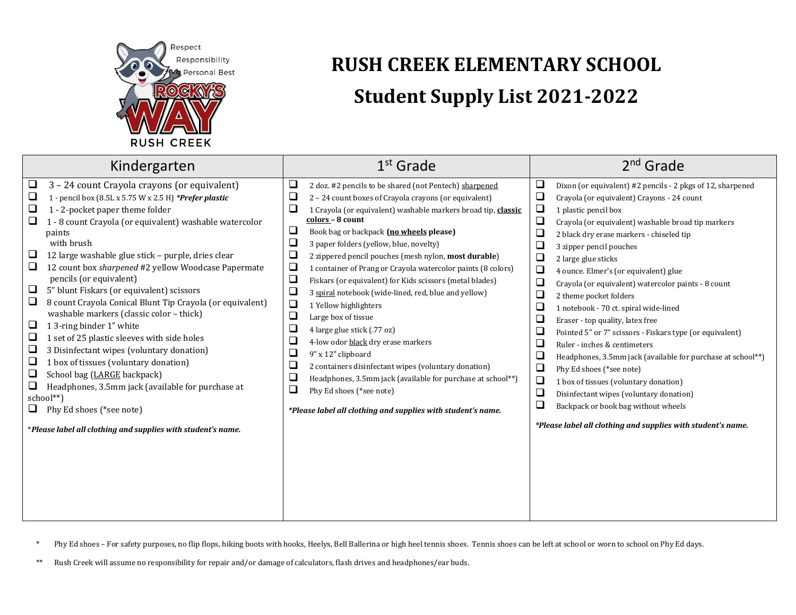

## **RUSH CREEK ELEMENTARY SCHOOL Student Supply List 2021-2022**

| Kindergarten                                                                                                                                                                                                                                                                                                                                                                                                                                                                                                                                                                                                                                                                                                                                                                                                                                                                                                                                                                            | $1st$ Grade                                                                                                                                                                                                                                                                                                                                                                                                                                                                                                                                                                                                                                                                                                                                                                                                                                                                                                                                                                                                                                                                    | $2nd$ Grade                                                                                                                                                                                                                                                                                                                                                                                                                                                                                                                                                                                                                                                                                                                                                                                                                                                                                                                                                                                           |
|-----------------------------------------------------------------------------------------------------------------------------------------------------------------------------------------------------------------------------------------------------------------------------------------------------------------------------------------------------------------------------------------------------------------------------------------------------------------------------------------------------------------------------------------------------------------------------------------------------------------------------------------------------------------------------------------------------------------------------------------------------------------------------------------------------------------------------------------------------------------------------------------------------------------------------------------------------------------------------------------|--------------------------------------------------------------------------------------------------------------------------------------------------------------------------------------------------------------------------------------------------------------------------------------------------------------------------------------------------------------------------------------------------------------------------------------------------------------------------------------------------------------------------------------------------------------------------------------------------------------------------------------------------------------------------------------------------------------------------------------------------------------------------------------------------------------------------------------------------------------------------------------------------------------------------------------------------------------------------------------------------------------------------------------------------------------------------------|-------------------------------------------------------------------------------------------------------------------------------------------------------------------------------------------------------------------------------------------------------------------------------------------------------------------------------------------------------------------------------------------------------------------------------------------------------------------------------------------------------------------------------------------------------------------------------------------------------------------------------------------------------------------------------------------------------------------------------------------------------------------------------------------------------------------------------------------------------------------------------------------------------------------------------------------------------------------------------------------------------|
| $\Box$<br>3 - 24 count Crayola crayons (or equivalent)<br>❏<br>1 - pencil box (8.5L x 5.75 W x 2.5 H) *Prefer plastic<br>❏<br>1 - 2-pocket paper theme folder<br>$\Box$<br>1 - 8 count Crayola (or equivalent) washable watercolor<br>paints<br>with brush<br>❏<br>12 large washable glue stick - purple, dries clear<br>❏<br>12 count box sharpened #2 yellow Woodcase Papermate<br>pencils (or equivalent)<br>$\Box$<br>5" blunt Fiskars (or equivalent) scissors<br>❏<br>8 count Crayola Conical Blunt Tip Crayola (or equivalent)<br>washable markers (classic color - thick)<br>$\Box$<br>1 3-ring binder 1" white<br>❏<br>1 set of 25 plastic sleeves with side holes<br>$\Box$<br>3 Disinfectant wipes (voluntary donation)<br>❏<br>1 box of tissues (voluntary donation)<br>❏<br>School bag (LARGE backpack)<br>❏<br>Headphones, 3.5mm jack (available for purchase at<br>school**)<br>Phy Ed shoes (*see note)<br>*Please label all clothing and supplies with student's name. | $\Box$<br>2 doz. #2 pencils to be shared (not Pentech) sharpened<br>$\Box$<br>2 - 24 count boxes of Crayola crayons (or equivalent)<br>$\Box$<br>1 Crayola (or equivalent) washable markers broad tip, classic<br>colors - 8 count<br>$\Box$<br>Book bag or backpack (no wheels please)<br>$\Box$<br>3 paper folders (yellow, blue, novelty)<br>$\Box$<br>2 zippered pencil pouches (mesh nylon, most durable)<br>$\Box$<br>1 container of Prang or Crayola watercolor paints (8 colors)<br>$\Box$<br>Fiskars (or equivalent) for Kids scissors (metal blades)<br>$\Box$<br>3 spiral notebook (wide-lined, red, blue and yellow)<br>$\Box$<br>1 Yellow highlighters<br>$\Box$<br>Large box of tissue<br>$\Box$<br>4 large glue stick (.77 oz)<br>$\Box$<br>4-low odor black dry erase markers<br>$\Box$<br>9" x 12" clipboard<br>$\Box$<br>2 containers disinfectant wipes (voluntary donation)<br>$\Box$<br>Headphones, 3.5mm jack (available for purchase at school**)<br>$\Box$<br>Phy Ed shoes (*see note)<br>*Please label all clothing and supplies with student's name. | □<br>Dixon (or equivalent) #2 pencils - 2 pkgs of 12, sharpened<br>$\Box$<br>Crayola (or equivalent) Crayons - 24 count<br>❏<br>1 plastic pencil box<br>❏<br>Crayola (or equivalent) washable broad tip markers<br>П<br>2 black dry erase markers - chiseled tip<br>П<br>3 zipper pencil pouches<br>□<br>2 large glue sticks<br>$\Box$<br>4 ounce. Elmer's (or equivalent) glue<br>$\Box$<br>Crayola (or equivalent) watercolor paints - 8 count<br>❏<br>2 theme pocket folders<br>□<br>1 notebook - 70 ct. spiral wide-lined<br>❏<br>Eraser - top quality, latex free<br>$\Box$<br>Pointed 5" or 7" scissors - Fiskars type (or equivalent)<br>$\Box$<br>Ruler - inches & centimeters<br>Headphones, 3.5mm jack (available for purchase at school**)<br>❏<br>Phy Ed shoes (*see note)<br>❏<br>1 box of tissues (voluntary donation)<br>❏<br>Disinfectant wipes (voluntary donation)<br>$\Box$<br>Backpack or book bag without wheels<br>*Please label all clothing and supplies with student's name. |

\* Phy Ed shoes – For safety purposes, no flip flops, hiking boots with hooks, Heelys, Bell Ballerina or high heel tennis shoes. Tennis shoes can be left at school or worn to school on Phy Ed days.

\*\* Rush Creek will assume no responsibility for repair and/or damage of calculators, flash drives and headphones/ear buds.